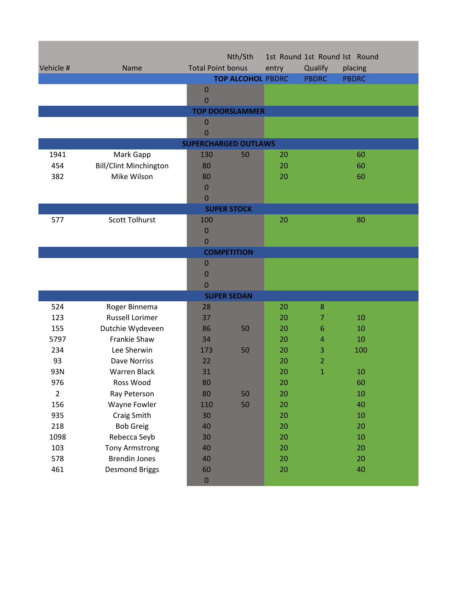| Vehicle #                   | Name                          | <b>Total Point bonus</b> | Nth/Sth                  | entry | Qualify        | 1st Round 1st Round Ist Round<br>placing |  |  |  |
|-----------------------------|-------------------------------|--------------------------|--------------------------|-------|----------------|------------------------------------------|--|--|--|
|                             |                               |                          | <b>TOP ALCOHOL PBDRC</b> |       | <b>PBDRC</b>   | <b>PBDRC</b>                             |  |  |  |
|                             |                               | $\mathbf 0$<br>0         |                          |       |                |                                          |  |  |  |
|                             |                               |                          | <b>TOP DOORSLAMMER</b>   |       |                |                                          |  |  |  |
|                             |                               | $\mathbf 0$              |                          |       |                |                                          |  |  |  |
|                             |                               | $\overline{0}$           |                          |       |                |                                          |  |  |  |
| <b>SUPERCHARGED OUTLAWS</b> |                               |                          |                          |       |                |                                          |  |  |  |
| 1941                        | Mark Gapp                     | 130                      | 50                       | 20    |                | 60                                       |  |  |  |
| 454                         | <b>Bill/Clint Minchington</b> | 80                       |                          | 20    |                | 60                                       |  |  |  |
| 382                         | Mike Wilson                   | 80                       |                          | 20    |                | 60                                       |  |  |  |
|                             |                               | 0                        |                          |       |                |                                          |  |  |  |
|                             |                               | $\mathbf 0$              |                          |       |                |                                          |  |  |  |
| <b>SUPER STOCK</b>          |                               |                          |                          |       |                |                                          |  |  |  |
| 577                         | <b>Scott Tolhurst</b>         | 100                      |                          | 20    |                | 80                                       |  |  |  |
|                             |                               | 0                        |                          |       |                |                                          |  |  |  |
|                             |                               | $\overline{0}$           |                          |       |                |                                          |  |  |  |
|                             |                               |                          | <b>COMPETITION</b>       |       |                |                                          |  |  |  |
|                             |                               | $\mathbf 0$              |                          |       |                |                                          |  |  |  |
|                             |                               | 0                        |                          |       |                |                                          |  |  |  |
|                             |                               | $\Omega$                 |                          |       |                |                                          |  |  |  |
|                             |                               |                          | <b>SUPER SEDAN</b>       |       |                |                                          |  |  |  |
| 524                         | Roger Binnema                 | 28                       |                          | 20    | 8              |                                          |  |  |  |
| 123                         | <b>Russell Lorimer</b>        | 37                       |                          | 20    | 7              | 10                                       |  |  |  |
| 155                         | Dutchie Wydeveen              | 86                       | 50                       | 20    | 6              | 10                                       |  |  |  |
| 5797                        | <b>Frankie Shaw</b>           | 34                       |                          | 20    | 4              | 10                                       |  |  |  |
| 234                         | Lee Sherwin                   | 173                      | 50                       | 20    | 3              | 100                                      |  |  |  |
| 93                          | <b>Dave Norriss</b>           | 22                       |                          | 20    | $\overline{2}$ |                                          |  |  |  |
| 93N                         | <b>Warren Black</b>           | 31                       |                          | 20    | $\mathbf{1}$   | 10                                       |  |  |  |
| 976                         | Ross Wood                     | 80                       |                          | 20    |                | 60                                       |  |  |  |
| $\overline{2}$              | Ray Peterson                  | 80                       | 50                       | 20    |                | 10                                       |  |  |  |
| 156                         | Wayne Fowler                  | 110                      | 50                       | 20    |                | 40                                       |  |  |  |
| 935                         | Craig Smith                   | 30                       |                          | 20    |                | 10                                       |  |  |  |
| 218                         | <b>Bob Greig</b>              | 40                       |                          | 20    |                | 20                                       |  |  |  |
| 1098                        | Rebecca Seyb                  | 30                       |                          | 20    |                | 10                                       |  |  |  |
| 103                         | <b>Tony Armstrong</b>         | 40                       |                          | 20    |                | 20                                       |  |  |  |
| 578                         | <b>Brendin Jones</b>          | 40                       |                          | 20    |                | 20                                       |  |  |  |
| 461                         | <b>Desmond Briggs</b>         | 60                       |                          | 20    |                | 40                                       |  |  |  |
|                             |                               | $\mathbf 0$              |                          |       |                |                                          |  |  |  |

**这个人都是不是一个人的人,我们也不是一个人的人,我们也不是一个人的人,我们也不是一个人的人,我们**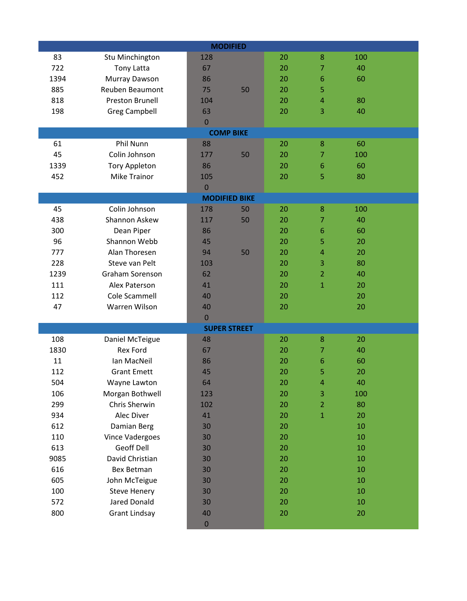| <b>MODIFIED</b>               |  |                     |    |    |                |     |  |  |
|-------------------------------|--|---------------------|----|----|----------------|-----|--|--|
| 83<br>Stu Minchington         |  | 128                 |    | 20 | 8              | 100 |  |  |
| 722<br><b>Tony Latta</b>      |  | 67                  |    | 20 | 7              | 40  |  |  |
| 1394<br>Murray Dawson         |  | 86                  |    | 20 | 6              | 60  |  |  |
| Reuben Beaumont<br>885        |  | 75                  | 50 | 20 | 5              |     |  |  |
| 818<br><b>Preston Brunell</b> |  | 104                 |    | 20 | 4              | 80  |  |  |
| <b>Greg Campbell</b><br>198   |  | 63                  |    | 20 | 3              | 40  |  |  |
|                               |  | $\mathbf{0}$        |    |    |                |     |  |  |
| <b>COMP BIKE</b>              |  |                     |    |    |                |     |  |  |
| Phil Nunn<br>61               |  | 88                  |    | 20 | 8              | 60  |  |  |
| Colin Johnson<br>45           |  | 177                 | 50 | 20 | 7              | 100 |  |  |
| 1339<br><b>Tory Appleton</b>  |  | 86                  |    | 20 | 6              | 60  |  |  |
| <b>Mike Trainor</b><br>452    |  | 105                 |    | 20 | 5              | 80  |  |  |
|                               |  | $\overline{0}$      |    |    |                |     |  |  |
| <b>MODIFIED BIKE</b>          |  |                     |    |    |                |     |  |  |
| 45<br>Colin Johnson           |  | 178                 | 50 | 20 | 8              | 100 |  |  |
| 438<br>Shannon Askew          |  | 117                 | 50 | 20 | 7              | 40  |  |  |
| 300<br>Dean Piper             |  | 86                  |    | 20 | 6              | 60  |  |  |
| 96<br>Shannon Webb            |  | 45                  |    | 20 | 5              | 20  |  |  |
| Alan Thoresen<br>777          |  | 94                  | 50 | 20 | $\overline{4}$ | 20  |  |  |
| 228<br>Steve van Pelt         |  | 103                 |    | 20 | 3              | 80  |  |  |
| Graham Sorenson<br>1239       |  | 62                  |    | 20 | $\overline{2}$ | 40  |  |  |
| 111<br>Alex Paterson          |  | 41                  |    | 20 | $\mathbf{1}$   | 20  |  |  |
| Cole Scammell<br>112          |  | 40                  |    | 20 |                | 20  |  |  |
| 47<br>Warren Wilson           |  | 40                  |    | 20 |                | 20  |  |  |
|                               |  | $\mathbf 0$         |    |    |                |     |  |  |
|                               |  | <b>SUPER STREET</b> |    |    |                |     |  |  |
| 108<br>Daniel McTeigue        |  | 48                  |    | 20 | 8              | 20  |  |  |
| <b>Rex Ford</b><br>1830       |  | 67                  |    | 20 | 7              | 40  |  |  |
| 11<br>Ian MacNeil             |  | 86                  |    | 20 | 6              | 60  |  |  |
| 112<br><b>Grant Emett</b>     |  | 45                  |    | 20 | 5              | 20  |  |  |
| 504<br>Wayne Lawton           |  | 64                  |    | 20 | 4              | 40  |  |  |
| 106<br>Morgan Bothwell        |  | 123                 |    | 20 | 3              | 100 |  |  |
| Chris Sherwin<br>299          |  | 102                 |    | 20 | $\overline{2}$ | 80  |  |  |
| 934<br>Alec Diver             |  | 41                  |    | 20 | $\mathbf{1}$   | 20  |  |  |
| 612<br>Damian Berg            |  | 30                  |    | 20 |                | 10  |  |  |
| 110<br>Vince Vadergoes        |  | 30                  |    | 20 |                | 10  |  |  |
| <b>Geoff Dell</b><br>613      |  | 30                  |    | 20 |                | 10  |  |  |
| David Christian<br>9085       |  | 30                  |    | 20 |                | 10  |  |  |
| 616<br><b>Bex Betman</b>      |  | 30                  |    | 20 |                | 10  |  |  |
| 605<br>John McTeigue          |  | 30                  |    | 20 |                | 10  |  |  |
| 100<br><b>Steve Henery</b>    |  | 30                  |    | 20 |                | 10  |  |  |
| <b>Jared Donald</b><br>572    |  | 30                  |    | 20 |                | 10  |  |  |
| 800<br><b>Grant Lindsay</b>   |  | 40                  |    | 20 |                | 20  |  |  |
|                               |  | $\pmb{0}$           |    |    |                |     |  |  |